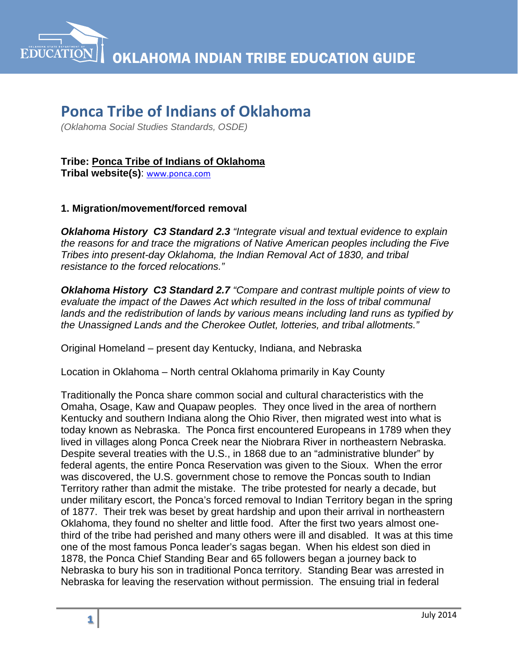

# **Ponca Tribe of Indians of Oklahoma**

*(Oklahoma Social Studies Standards, OSDE)*

## **Tribe: Ponca Tribe of Indians of Oklahoma**

**Tribal website(s)**: [www.ponca.com](http://www.ponca.com/)

#### **1. Migration/movement/forced removal**

*Oklahoma History C3 Standard 2.3 "Integrate visual and textual evidence to explain the reasons for and trace the migrations of Native American peoples including the Five Tribes into present-day Oklahoma, the Indian Removal Act of 1830, and tribal resistance to the forced relocations."*

*Oklahoma History C3 Standard 2.7 "Compare and contrast multiple points of view to evaluate the impact of the Dawes Act which resulted in the loss of tribal communal lands and the redistribution of lands by various means including land runs as typified by the Unassigned Lands and the Cherokee Outlet, lotteries, and tribal allotments."*

Original Homeland – present day Kentucky, Indiana, and Nebraska

Location in Oklahoma – North central Oklahoma primarily in Kay County

Traditionally the Ponca share common social and cultural characteristics with the Omaha, Osage, Kaw and Quapaw peoples. They once lived in the area of northern Kentucky and southern Indiana along the Ohio River, then migrated west into what is today known as Nebraska. The Ponca first encountered Europeans in 1789 when they lived in villages along Ponca Creek near the Niobrara River in northeastern Nebraska. Despite several treaties with the U.S., in 1868 due to an "administrative blunder" by federal agents, the entire Ponca Reservation was given to the Sioux. When the error was discovered, the U.S. government chose to remove the Poncas south to Indian Territory rather than admit the mistake. The tribe protested for nearly a decade, but under military escort, the Ponca's forced removal to Indian Territory began in the spring of 1877. Their trek was beset by great hardship and upon their arrival in northeastern Oklahoma, they found no shelter and little food. After the first two years almost onethird of the tribe had perished and many others were ill and disabled. It was at this time one of the most famous Ponca leader's sagas began. When his eldest son died in 1878, the Ponca Chief Standing Bear and 65 followers began a journey back to Nebraska to bury his son in traditional Ponca territory. Standing Bear was arrested in Nebraska for leaving the reservation without permission. The ensuing trial in federal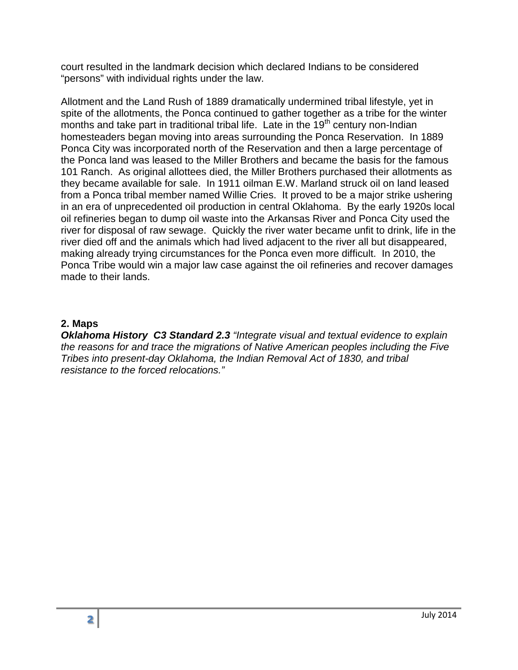court resulted in the landmark decision which declared Indians to be considered "persons" with individual rights under the law.

Allotment and the Land Rush of 1889 dramatically undermined tribal lifestyle, yet in spite of the allotments, the Ponca continued to gather together as a tribe for the winter months and take part in traditional tribal life. Late in the  $19<sup>th</sup>$  century non-Indian homesteaders began moving into areas surrounding the Ponca Reservation. In 1889 Ponca City was incorporated north of the Reservation and then a large percentage of the Ponca land was leased to the Miller Brothers and became the basis for the famous 101 Ranch. As original allottees died, the Miller Brothers purchased their allotments as they became available for sale. In 1911 oilman E.W. Marland struck oil on land leased from a Ponca tribal member named Willie Cries. It proved to be a major strike ushering in an era of unprecedented oil production in central Oklahoma. By the early 1920s local oil refineries began to dump oil waste into the Arkansas River and Ponca City used the river for disposal of raw sewage. Quickly the river water became unfit to drink, life in the river died off and the animals which had lived adjacent to the river all but disappeared, making already trying circumstances for the Ponca even more difficult. In 2010, the Ponca Tribe would win a major law case against the oil refineries and recover damages made to their lands.

#### **2. Maps**

*Oklahoma History C3 Standard 2.3 "Integrate visual and textual evidence to explain the reasons for and trace the migrations of Native American peoples including the Five Tribes into present-day Oklahoma, the Indian Removal Act of 1830, and tribal resistance to the forced relocations."*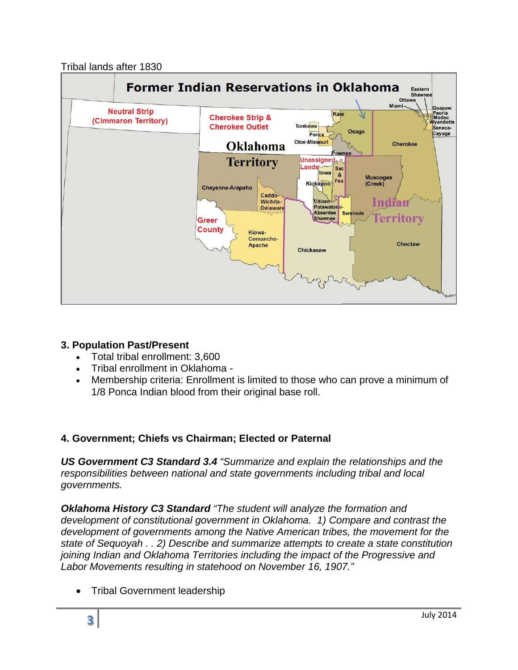## Tribal lands after 1830



## **3. Population Past/Present**

- Total tribal enrollment: 3,600
- Tribal enrollment in Oklahoma -
- Membership criteria: Enrollment is limited to those who can prove a minimum of 1/8 Ponca Indian blood from their original base roll.

## **4. Government; Chiefs vs Chairman; Elected or Paternal**

*US Government C3 Standard 3.4 "Summarize and explain the relationships and the responsibilities between national and state governments including tribal and local governments.*

*Oklahoma History C3 Standard "The student will analyze the formation and development of constitutional government in Oklahoma. 1) Compare and contrast the development of governments among the Native American tribes, the movement for the state of Sequoyah . . 2) Describe and summarize attempts to create a state constitution joining Indian and Oklahoma Territories including the impact of the Progressive and Labor Movements resulting in statehood on November 16, 1907."*

• Tribal Government leadership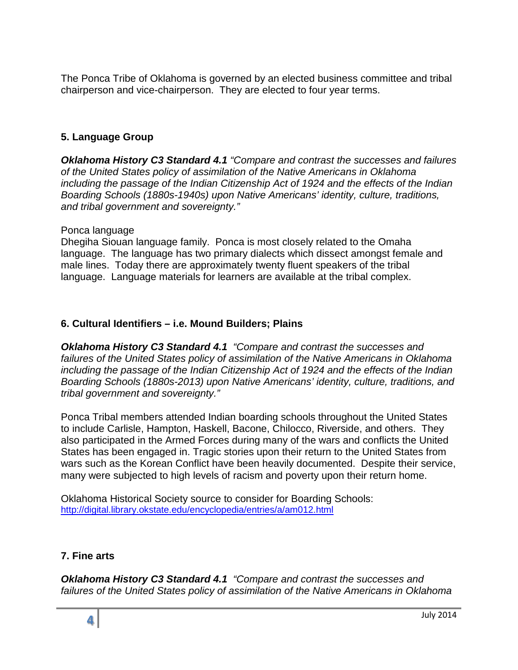The Ponca Tribe of Oklahoma is governed by an elected business committee and tribal chairperson and vice-chairperson. They are elected to four year terms.

## **5. Language Group**

*Oklahoma History C3 Standard 4.1 "Compare and contrast the successes and failures of the United States policy of assimilation of the Native Americans in Oklahoma including the passage of the Indian Citizenship Act of 1924 and the effects of the Indian Boarding Schools (1880s-1940s) upon Native Americans' identity, culture, traditions, and tribal government and sovereignty."*

#### Ponca language

Dhegiha Siouan language family. Ponca is most closely related to the Omaha language. The language has two primary dialects which dissect amongst female and male lines. Today there are approximately twenty fluent speakers of the tribal language. Language materials for learners are available at the tribal complex.

### **6. Cultural Identifiers – i.e. Mound Builders; Plains**

*Oklahoma History C3 Standard 4.1 "Compare and contrast the successes and failures of the United States policy of assimilation of the Native Americans in Oklahoma including the passage of the Indian Citizenship Act of 1924 and the effects of the Indian Boarding Schools (1880s-2013) upon Native Americans' identity, culture, traditions, and tribal government and sovereignty."* 

Ponca Tribal members attended Indian boarding schools throughout the United States to include Carlisle, Hampton, Haskell, Bacone, Chilocco, Riverside, and others. They also participated in the Armed Forces during many of the wars and conflicts the United States has been engaged in. Tragic stories upon their return to the United States from wars such as the Korean Conflict have been heavily documented. Despite their service, many were subjected to high levels of racism and poverty upon their return home.

Oklahoma Historical Society source to consider for Boarding Schools: <http://digital.library.okstate.edu/encyclopedia/entries/a/am012.html>

#### **7. Fine arts**

*Oklahoma History C3 Standard 4.1 "Compare and contrast the successes and failures of the United States policy of assimilation of the Native Americans in Oklahoma*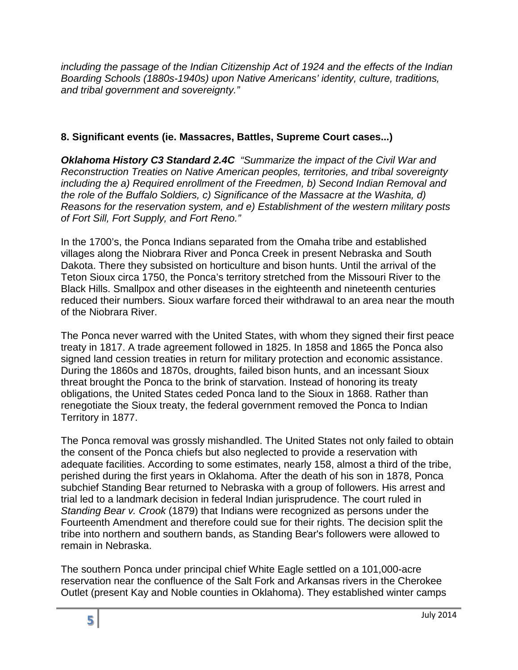*including the passage of the Indian Citizenship Act of 1924 and the effects of the Indian Boarding Schools (1880s-1940s) upon Native Americans' identity, culture, traditions, and tribal government and sovereignty."*

## **8. Significant events (ie. Massacres, Battles, Supreme Court cases...)**

*Oklahoma History C3 Standard 2.4C "Summarize the impact of the Civil War and Reconstruction Treaties on Native American peoples, territories, and tribal sovereignty including the a) Required enrollment of the Freedmen, b) Second Indian Removal and the role of the Buffalo Soldiers, c) Significance of the Massacre at the Washita, d) Reasons for the reservation system, and e) Establishment of the western military posts of Fort Sill, Fort Supply, and Fort Reno."*

In the 1700's, the Ponca Indians separated from the Omaha tribe and established villages along the Niobrara River and Ponca Creek in present Nebraska and South Dakota. There they subsisted on horticulture and bison hunts. Until the arrival of the Teton Sioux circa 1750, the Ponca's territory stretched from the Missouri River to the Black Hills. Smallpox and other diseases in the eighteenth and nineteenth centuries reduced their numbers. Sioux warfare forced their withdrawal to an area near the mouth of the Niobrara River.

The Ponca never warred with the United States, with whom they signed their first peace treaty in 1817. A trade agreement followed in 1825. In 1858 and 1865 the Ponca also signed land cession treaties in return for military protection and economic assistance. During the 1860s and 1870s, droughts, failed bison hunts, and an incessant Sioux threat brought the Ponca to the brink of starvation. Instead of honoring its treaty obligations, the United States ceded Ponca land to the Sioux in 1868. Rather than renegotiate the Sioux treaty, the federal government removed the Ponca to Indian Territory in 1877.

The Ponca removal was grossly mishandled. The United States not only failed to obtain the consent of the Ponca chiefs but also neglected to provide a reservation with adequate facilities. According to some estimates, nearly 158, almost a third of the tribe, perished during the first years in Oklahoma. After the death of his son in 1878, Ponca subchief Standing Bear returned to Nebraska with a group of followers. His arrest and trial led to a landmark decision in federal Indian jurisprudence. The court ruled in *Standing Bear v. Crook* (1879) that Indians were recognized as persons under the Fourteenth Amendment and therefore could sue for their rights. The decision split the tribe into northern and southern bands, as Standing Bear's followers were allowed to remain in Nebraska.

The southern Ponca under principal chief White Eagle settled on a 101,000-acre reservation near the confluence of the Salt Fork and Arkansas rivers in the Cherokee Outlet (present Kay and Noble counties in Oklahoma). They established winter camps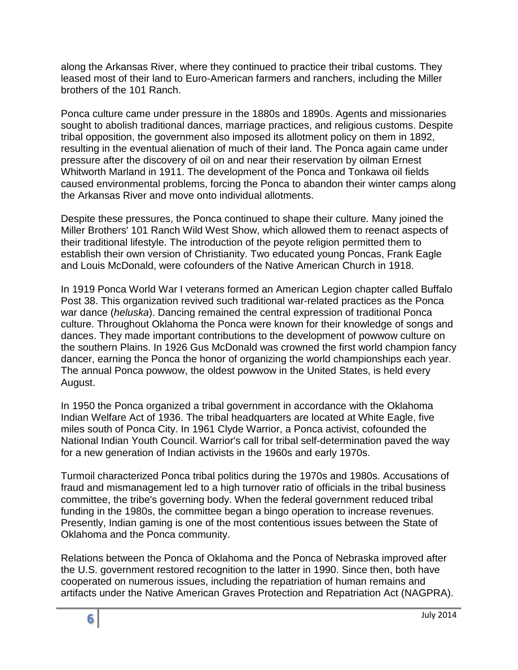along the Arkansas River, where they continued to practice their tribal customs. They leased most of their land to Euro-American farmers and ranchers, including the Miller brothers of the 101 Ranch.

Ponca culture came under pressure in the 1880s and 1890s. Agents and missionaries sought to abolish traditional dances, marriage practices, and religious customs. Despite tribal opposition, the government also imposed its allotment policy on them in 1892, resulting in the eventual alienation of much of their land. The Ponca again came under pressure after the discovery of oil on and near their reservation by oilman Ernest Whitworth Marland in 1911. The development of the Ponca and Tonkawa oil fields caused environmental problems, forcing the Ponca to abandon their winter camps along the Arkansas River and move onto individual allotments.

Despite these pressures, the Ponca continued to shape their culture. Many joined the Miller Brothers' 101 Ranch Wild West Show, which allowed them to reenact aspects of their traditional lifestyle. The introduction of the peyote religion permitted them to establish their own version of Christianity. Two educated young Poncas, Frank Eagle and Louis McDonald, were cofounders of the Native American Church in 1918.

In 1919 Ponca World War I veterans formed an American Legion chapter called Buffalo Post 38. This organization revived such traditional war-related practices as the Ponca war dance (*heluska*). Dancing remained the central expression of traditional Ponca culture. Throughout Oklahoma the Ponca were known for their knowledge of songs and dances. They made important contributions to the development of powwow culture on the southern Plains. In 1926 Gus McDonald was crowned the first world champion fancy dancer, earning the Ponca the honor of organizing the world championships each year. The annual Ponca powwow, the oldest powwow in the United States, is held every August.

In 1950 the Ponca organized a tribal government in accordance with the Oklahoma Indian Welfare Act of 1936. The tribal headquarters are located at White Eagle, five miles south of Ponca City. In 1961 Clyde Warrior, a Ponca activist, cofounded the National Indian Youth Council. Warrior's call for tribal self-determination paved the way for a new generation of Indian activists in the 1960s and early 1970s.

Turmoil characterized Ponca tribal politics during the 1970s and 1980s. Accusations of fraud and mismanagement led to a high turnover ratio of officials in the tribal business committee, the tribe's governing body. When the federal government reduced tribal funding in the 1980s, the committee began a bingo operation to increase revenues. Presently, Indian gaming is one of the most contentious issues between the State of Oklahoma and the Ponca community.

Relations between the Ponca of Oklahoma and the Ponca of Nebraska improved after the U.S. government restored recognition to the latter in 1990. Since then, both have cooperated on numerous issues, including the repatriation of human remains and artifacts under the Native American Graves Protection and Repatriation Act (NAGPRA).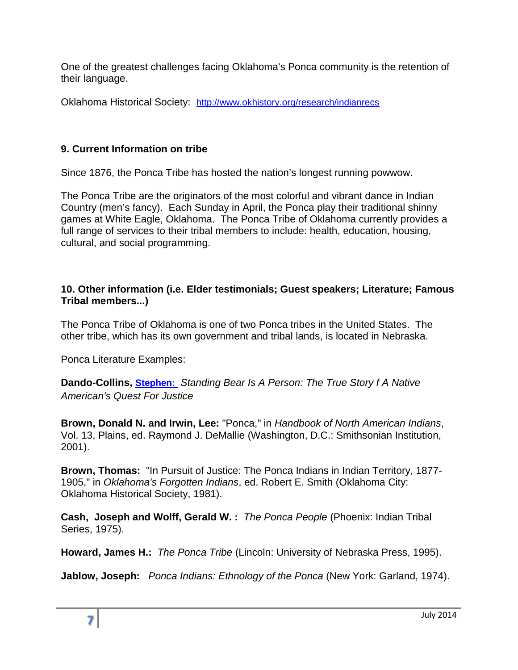One of the greatest challenges facing Oklahoma's Ponca community is the retention of their language.

Oklahoma Historical Society: <http://www.okhistory.org/research/indianrecs>

## **9. Current Information on tribe**

Since 1876, the Ponca Tribe has hosted the nation's longest running powwow.

The Ponca Tribe are the originators of the most colorful and vibrant dance in Indian Country (men's fancy). Each Sunday in April, the Ponca play their traditional shinny games at White Eagle, Oklahoma. The Ponca Tribe of Oklahoma currently provides a full range of services to their tribal members to include: health, education, housing, cultural, and social programming.

## **10. Other information (i.e. Elder testimonials; Guest speakers; Literature; Famous Tribal members...)**

The Ponca Tribe of Oklahoma is one of two Ponca tribes in the United States. The other tribe, which has its own government and tribal lands, is located in Nebraska.

Ponca Literature Examples:

**Dando-Collins, [Stephen:](http://www.amazon.com/Stephen-Dando-Collins/e/B001ILFLWW/ref=ntt_athr_dp_pel_1)** *Standing Bear Is A Person: The True Story f A Native American's Quest For Justice*

**Brown, Donald N. and Irwin, Lee:** "Ponca," in *Handbook of North American Indians*, Vol. 13, Plains, ed. Raymond J. DeMallie (Washington, D.C.: Smithsonian Institution, 2001).

**Brown, Thomas:** "In Pursuit of Justice: The Ponca Indians in Indian Territory, 1877- 1905," in *Oklahoma's Forgotten Indians*, ed. Robert E. Smith (Oklahoma City: Oklahoma Historical Society, 1981).

**Cash, Joseph and Wolff, Gerald W. :** *The Ponca People* (Phoenix: Indian Tribal Series, 1975).

**Howard, James H.:** *The Ponca Tribe* (Lincoln: University of Nebraska Press, 1995).

**Jablow, Joseph:** *Ponca Indians: Ethnology of the Ponca* (New York: Garland, 1974).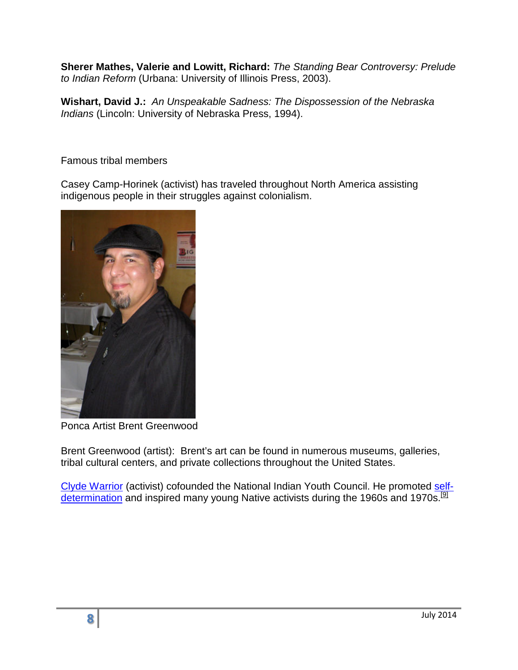**Sherer Mathes, Valerie and Lowitt, Richard:** *The Standing Bear Controversy: Prelude to Indian Reform* (Urbana: University of Illinois Press, 2003).

**Wishart, David J.:** *An Unspeakable Sadness: The Dispossession of the Nebraska Indians* (Lincoln: University of Nebraska Press, 1994).

Famous tribal members

Casey Camp-Horinek (activist) has traveled throughout North America assisting indigenous people in their struggles against colonialism.



Ponca Artist Brent Greenwood

Brent Greenwood (artist): Brent's art can be found in numerous museums, galleries, tribal cultural centers, and private collections throughout the United States.

[Clyde Warrior](http://en.wikipedia.org/wiki/Clyde_Warrior) (activist) cofounded the National Indian Youth Council. He promoted [self](http://en.wikipedia.org/wiki/Native_American_self-determination)[determination](http://en.wikipedia.org/wiki/Native_American_self-determination) and inspired many young Native activists during the 1960s and 1970s.<sup>[9]</sup>